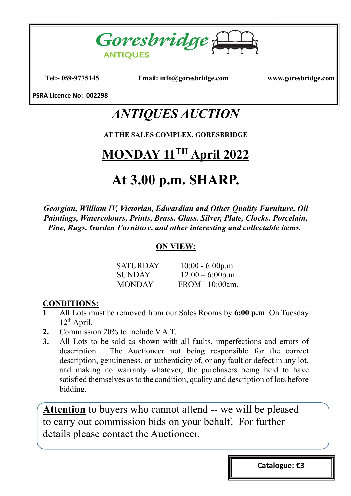

**Tel:- 059-9775145 Email: info@goresbridge.com www.goresbridge.com**

**PSRA Licence No: 002298**

### *ANTIQUES AUCTION*

**AT THE SALES COMPLEX, GORESBRIDGE**

## **MONDAY 11TH April 2022**

## **At 3.00 p.m. SHARP.**

*Georgian, William IV, Victorian, Edwardian and Other Quality Furniture, Oil Paintings, Watercolours, Prints, Brass, Glass, Silver, Plate, Clocks, Porcelain, Pine, Rugs, Garden Furniture, and other interesting and collectable items.*

#### **ON VIEW:**

| <b>SATURDAY</b> | $10:00 - 6:00p.m.$ |
|-----------------|--------------------|
| <b>SUNDAY</b>   | $12:00 - 6:00p.m$  |
| <b>MONDAY</b>   | FROM 10:00am.      |

#### **CONDITIONS:**

- **1**. All Lots must be removed from our Sales Rooms by **6:00 p.m**. On Tuesday  $12<sup>th</sup>$  April.
- **2.** Commission 20% to include V.A.T.
- **3.** All Lots to be sold as shown with all faults, imperfections and errors of description. The Auctioneer not being responsible for the correct description, genuineness, or authenticity of, or any fault or defect in any lot, and making no warranty whatever, the purchasers being held to have satisfied themselves as to the condition, quality and description of lots before bidding.

**Attention** to buyers who cannot attend -- we will be pleased to carry out commission bids on your behalf. For further details please contact the Auctioneer.

**Catalogue: €3**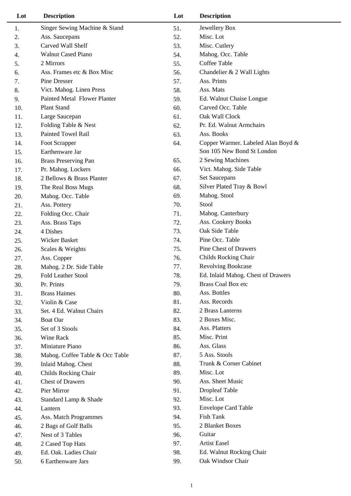| Lot | <b>Description</b>                  | Lot | <b>Description</b>                 |
|-----|-------------------------------------|-----|------------------------------------|
| 1.  | Singer Sewing Machine & Stand       | 51. | Jewellery Box                      |
| 2.  | Ass. Saucepans                      | 52. | Misc. Lot                          |
| 3.  | Carved Wall Shelf                   | 53. | Misc. Cutlery                      |
| 4.  | <b>Walnut Cased Piano</b>           | 54. | Mahog. Occ. Table                  |
| 5.  | 2 Mirrors                           | 55. | Coffee Table                       |
| 6.  | Ass. Frames etc & Box Misc          | 56. | Chandelier & 2 Wall Lights         |
| 7.  | Pine Dresser                        | 57. | Ass. Prints                        |
| 8.  | Vict. Mahog. Linen Press            | 58. | Ass. Mats                          |
| 9.  | <b>Painted Metal Flower Planter</b> | 59. | Ed. Walnut Chaise Longue           |
| 10. | Plant Stand                         | 60. | Carved Occ. Table                  |
| 11. | Large Saucepan                      | 61. | Oak Wall Clock                     |
| 12. | Folding Table & Nest                | 62. | Pr. Ed. Walnut Armchairs           |
| 13. | <b>Painted Towel Rail</b>           | 63. | Ass. Books                         |
| 14. | Foot Scrapper                       | 64. | Copper Warmer. Labeled Alan Boyd & |
| 15. | Earthenware Jar                     |     | Son 105 New Bond St London         |
| 16. | <b>Brass Preserving Pan</b>         | 65. | 2 Sewing Machines                  |
| 17. | Pr. Mahog. Lockers                  | 66. | Vict. Mahog. Side Table            |
| 18. | 2 Bellows & Brass Planter           | 67. | <b>Set Saucepans</b>               |
| 19. | The Real Boss Mugs                  | 68. | Silver Plated Tray & Bowl          |
| 20. | Mahog. Occ. Table                   | 69. | Mahog. Stool                       |
| 21. | Ass. Pottery                        | 70. | Stool                              |
| 22. | Folding Occ. Chair                  | 71. | Mahog. Canterbury                  |
| 23. | Ass. Brass Taps                     | 72. | Ass. Cookery Books                 |
| 24. | 4 Dishes                            | 73. | Oak Side Table                     |
| 25. | Wicker Basket                       | 74. | Pine Occ. Table                    |
| 26. | Scales & Weights                    | 75. | Pine Chest of Drawers              |
| 27. | Ass. Copper                         | 76. | Childs Rocking Chair               |
| 28. | Mahog. 2 Dr. Side Table             | 77. | <b>Revolving Bookcase</b>          |
| 29. | <b>Fold Leather Stool</b>           | 78. | Ed. Inlaid Mahog. Chest of Drawers |
| 30. | Pr. Prints                          | 79. | <b>Brass Coal Box etc</b>          |
| 31. | <b>Brass Haimes</b>                 | 80. | Ass. Bottles                       |
| 32. | Violin & Case                       | 81. | Ass. Records                       |
| 33. | Set. 4 Ed. Walnut Chairs            | 82. | 2 Brass Lanterns                   |
| 34. | <b>Boat Oar</b>                     | 83. | 2 Boxes Misc.                      |
| 35. | Set of 3 Stools                     | 84. | Ass. Platters                      |
| 36. | Wine Rack                           | 85. | Misc. Print                        |
| 37. | Miniature Piano                     | 86. | Ass. Glass                         |
| 38. | Mahog. Coffee Table & Occ Table     | 87. | 5 Ass. Stools                      |
| 39. | Inlaid Mahog. Chest                 | 88. | Trunk & Corner Cabinet             |
| 40. | Childs Rocking Chair                | 89. | Misc. Lot                          |
| 41. | <b>Chest of Drawers</b>             | 90. | Ass. Sheet Music                   |
| 42. | Pier Mirror                         | 91. | <b>Dropleaf Table</b>              |
| 43. | Standard Lamp & Shade               | 92. | Misc. Lot                          |
| 44. | Lantern                             | 93. | <b>Envelope Card Table</b>         |
| 45. | Ass. Match Programmes               | 94. | Fish Tank                          |
| 46. | 2 Bags of Golf Balls                | 95. | 2 Blanket Boxes                    |
| 47. | Nest of 3 Tables                    | 96. | Guitar                             |
| 48. | 2 Cased Top Hats                    | 97. | <b>Artist Easel</b>                |
| 49. | Ed. Oak. Ladies Chair               | 98. | Ed. Walnut Rocking Chair           |
| 50. | 6 Earthenware Jars                  | 99. | Oak Windsor Chair                  |
|     |                                     |     |                                    |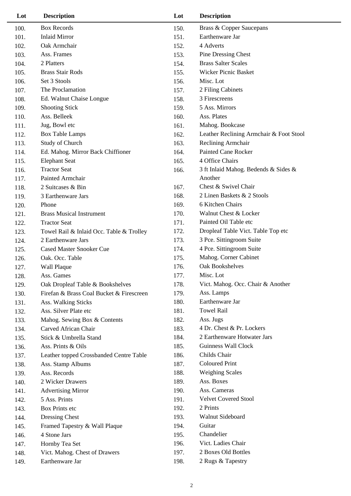| Lot  | <b>Description</b>                       | Lot  | <b>Description</b>                      |
|------|------------------------------------------|------|-----------------------------------------|
| 100. | <b>Box Records</b>                       | 150. | <b>Brass &amp; Copper Saucepans</b>     |
| 101. | <b>Inlaid Mirror</b>                     | 151. | Earthenware Jar                         |
| 102. | Oak Armchair                             | 152. | 4 Adverts                               |
| 103. | Ass. Frames                              | 153. | Pine Dressing Chest                     |
| 104. | 2 Platters                               | 154. | <b>Brass Salter Scales</b>              |
| 105. | <b>Brass Stair Rods</b>                  | 155. | Wicker Picnic Basket                    |
| 106. | Set 3 Stools                             | 156. | Misc. Lot                               |
| 107. | The Proclamation                         | 157. | 2 Filing Cabinets                       |
| 108. | Ed. Walnut Chaise Longue                 | 158. | 3 Firescreens                           |
| 109. | <b>Shooting Stick</b>                    | 159. | 5 Ass. Mirrors                          |
| 110. | Ass. Belleek                             | 160. | Ass. Plates                             |
| 111. | Jug, Bowl etc                            | 161. | Mahog. Bookcase                         |
| 112. | <b>Box Table Lamps</b>                   | 162. | Leather Reclining Armchair & Foot Stool |
| 113. | Study of Church                          | 163. | Reclining Armchair                      |
| 114. | Ed. Mahog. Mirror Back Chiffioner        | 164. | <b>Painted Cane Rocker</b>              |
| 115. | <b>Elephant Seat</b>                     | 165. | 4 Office Chairs                         |
| 116. | <b>Tractor Seat</b>                      | 166. | 3 ft Inlaid Mahog. Bedends & Sides &    |
| 117. | Painted Armchair                         |      | Another                                 |
| 118. | 2 Suitcases & Bin                        | 167. | Chest & Swivel Chair                    |
| 119. | 3 Earthenware Jars                       | 168. | 2 Linen Baskets & 2 Stools              |
| 120. | Phone                                    | 169. | 6 Kitchen Chairs                        |
| 121. | <b>Brass Musical Instrument</b>          | 170. | Walnut Chest & Locker                   |
| 122. | <b>Tractor Seat</b>                      | 171. | Painted Oil Table etc                   |
| 123. | Towel Rail & Inlaid Occ. Table & Trolley | 172. | Dropleaf Table Vict. Table Top etc      |
| 124. | 2 Earthenware Jars                       | 173. | 3 Pce. Sittingroom Suite                |
| 125. | <b>Cased Master Snooker Cue</b>          | 174. | 4 Pce. Sittingroom Suite                |
| 126. | Oak. Occ. Table                          | 175. | Mahog. Corner Cabinet                   |
| 127. | Wall Plaque                              | 176. | Oak Bookshelves                         |
| 128. | Ass. Games                               | 177. | Misc. Lot                               |
| 129. | Oak Dropleaf Table & Bookshelves         | 178. | Vict. Mahog. Occ. Chair & Another       |
| 130. | Firefan & Brass Coal Bucket & Firescreen | 179. | Ass. Lamps                              |
| 131. | Ass. Walking Sticks                      | 180. | Earthenware Jar                         |
| 132. | Ass. Silver Plate etc                    | 181. | <b>Towel Rail</b>                       |
| 133. | Mahog. Sewing Box & Contents             | 182. | Ass. Jugs                               |
| 134. | Carved African Chair                     | 183. | 4 Dr. Chest & Pr. Lockers               |
| 135. | Stick & Umbrella Stand                   | 184. | 2 Earthenware Hotwater Jars             |
| 136. | Ass. Prints & Oils                       | 185. | Guinness Wall Clock                     |
| 137. | Leather topped Crossbanded Centre Table  | 186. | Childs Chair                            |
| 138. | Ass. Stamp Albums                        | 187. | <b>Coloured Print</b>                   |
| 139. | Ass. Records                             | 188. | <b>Weighing Scales</b>                  |
| 140. | 2 Wicker Drawers                         | 189. | Ass. Boxes                              |
| 141. | <b>Advertising Mirror</b>                | 190. | Ass. Cameras                            |
| 142. | 5 Ass. Prints                            | 191. | <b>Velvet Covered Stool</b>             |
| 143. | Box Prints etc                           | 192. | 2 Prints                                |
| 144. | Dressing Chest                           | 193. | Walnut Sideboard                        |
| 145. | Framed Tapestry & Wall Plaque            | 194. | Guitar                                  |
| 146. | 4 Stone Jars                             | 195. | Chandelier                              |
| 147. | Hornby Tea Set                           | 196. | Vict. Ladies Chair                      |
| 148. | Vict. Mahog. Chest of Drawers            | 197. | 2 Boxes Old Bottles                     |
| 149. | Earthenware Jar                          | 198. | 2 Rugs & Tapestry                       |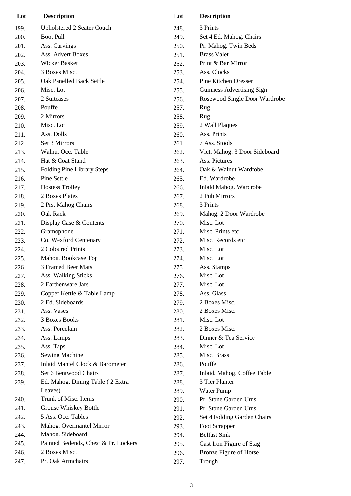| Lot  | <b>Description</b>                   | Lot  | <b>Description</b>            |
|------|--------------------------------------|------|-------------------------------|
| 199. | Upholstered 2 Seater Couch           | 248. | 3 Prints                      |
| 200. | <b>Boot Pull</b>                     | 249. | Set 4 Ed. Mahog. Chairs       |
| 201. | Ass. Carvings                        | 250. | Pr. Mahog. Twin Beds          |
| 202. | Ass. Advert Boxes                    | 251. | <b>Brass Valet</b>            |
| 203. | Wicker Basket                        | 252. | Print & Bar Mirror            |
| 204. | 3 Boxes Misc.                        | 253. | Ass. Clocks                   |
| 205. | Oak Panelled Back Settle             | 254. | Pine Kitchen Dresser          |
| 206. | Misc. Lot                            | 255. | Guinness Advertising Sign     |
| 207. | 2 Suitcases                          | 256. | Rosewood Single Door Wardrobe |
| 208. | Pouffe                               | 257. | Rug                           |
| 209. | 2 Mirrors                            | 258. | Rug                           |
| 210. | Misc. Lot                            | 259. | 2 Wall Plaques                |
| 211. | Ass. Dolls                           | 260. | Ass. Prints                   |
| 212. | Set 3 Mirrors                        | 261. | 7 Ass. Stools                 |
| 213. | Walnut Occ. Table                    | 262. | Vict. Mahog. 3 Door Sideboard |
| 214. | Hat & Coat Stand                     | 263. | Ass. Pictures                 |
| 215. | Folding Pine Library Steps           | 264. | Oak & Walnut Wardrobe         |
| 216. | Pine Settle                          | 265. | Ed. Wardrobe                  |
| 217. | <b>Hostess Trolley</b>               | 266. | Inlaid Mahog. Wardrobe        |
| 218. | 2 Boxes Plates                       | 267. | 2 Pub Mirrors                 |
| 219. | 2 Prs. Mahog Chairs                  | 268. | 3 Prints                      |
| 220. | Oak Rack                             | 269. | Mahog. 2 Door Wardrobe        |
| 221. | Display Case & Contents              | 270. | Misc. Lot                     |
| 222. | Gramophone                           | 271. | Misc. Prints etc              |
| 223. | Co. Wexford Centenary                | 272. | Misc. Records etc             |
| 224. | 2 Coloured Prints                    | 273. | Misc. Lot                     |
| 225. | Mahog. Bookcase Top                  | 274. | Misc. Lot                     |
| 226. | 3 Framed Beer Mats                   | 275. | Ass. Stamps                   |
| 227. | Ass. Walking Sticks                  | 276. | Misc. Lot                     |
| 228. | 2 Earthenware Jars                   | 277. | Misc. Lot                     |
| 229. | Copper Kettle & Table Lamp           | 278. | Ass. Glass                    |
| 230. | 2 Ed. Sideboards                     | 279. | 2 Boxes Misc.                 |
| 231. | Ass. Vases                           | 280. | 2 Boxes Misc.                 |
| 232. | 3 Boxes Books                        | 281. | Misc. Lot                     |
| 233. | Ass. Porcelain                       | 282. | 2 Boxes Misc.                 |
| 234. | Ass. Lamps                           | 283. | Dinner & Tea Service          |
| 235. | Ass. Taps                            | 284. | Misc. Lot                     |
| 236. | <b>Sewing Machine</b>                | 285. | Misc. Brass                   |
| 237. | Inlaid Mantel Clock & Barometer      | 286. | Pouffe                        |
| 238. | Set 6 Bentwood Chairs                | 287. | Inlaid. Mahog. Coffee Table   |
| 239. | Ed. Mahog. Dining Table (2 Extra     | 288. | 3 Tier Planter                |
|      | Leaves)                              | 289. | Water Pump                    |
| 240. | Trunk of Misc. Items                 | 290. | Pr. Stone Garden Urns         |
| 241. | Grouse Whiskey Bottle                | 291. | Pr. Stone Garden Urns         |
| 242. | 5 Ass. Occ. Tables                   | 292. | Set 4 Folding Garden Chairs   |
| 243. | Mahog. Overmantel Mirror             | 293. | Foot Scrapper                 |
| 244. | Mahog. Sideboard                     | 294. | <b>Belfast Sink</b>           |
| 245. | Painted Bedends, Chest & Pr. Lockers | 295. | Cast Iron Figure of Stag      |
| 246. | 2 Boxes Misc.                        | 296. | Bronze Figure of Horse        |
| 247. | Pr. Oak Armchairs                    | 297. | Trough                        |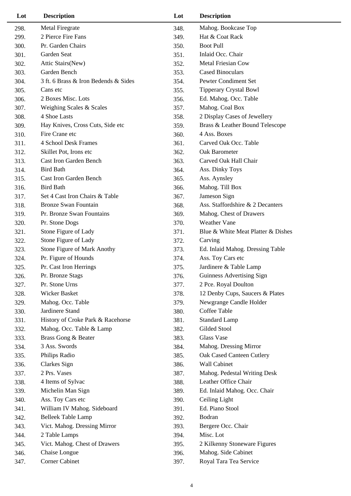| Lot  | <b>Description</b>                   | Lot  | <b>Description</b>                 |
|------|--------------------------------------|------|------------------------------------|
| 298. | <b>Metal Firegrate</b>               | 348. | Mahog. Bookcase Top                |
| 299. | 2 Pierce Fire Fans                   | 349. | Hat & Coat Rack                    |
| 300. | Pr. Garden Chairs                    | 350. | <b>Boot Pull</b>                   |
| 301. | Garden Seat                          | 351. | Inlaid Occ. Chair                  |
| 302. | Attic Stairs(New)                    | 352. | <b>Metal Friesian Cow</b>          |
| 303. | Garden Bench                         | 353. | <b>Cased Binoculars</b>            |
| 304. | 3 ft. 6 Brass & Iron Bedends & Sides | 354. | Pewter Condiment Set               |
| 305. | Cans etc                             | 355. | <b>Tipperary Crystal Bowl</b>      |
| 306. | 2 Boxes Misc. Lots                   | 356. | Ed. Mahog. Occ. Table              |
| 307. | Weighing Scales & Scales             | 357. | Mahog. Coal Box                    |
| 308. | 4 Shoe Lasts                         | 358. | 2 Display Cases of Jewellery       |
| 309. | Hay Knives, Cross Cuts, Side etc     | 359. | Brass & Leather Bound Telescope    |
| 310. | Fire Crane etc                       | 360. | 4 Ass. Boxes                       |
| 311. | 4 School Desk Frames                 | 361. | Carved Oak Occ. Table              |
| 312. | Skillet Pot, Irons etc               | 362. | Oak Barometer                      |
| 313. | <b>Cast Iron Garden Bench</b>        | 363. | Carved Oak Hall Chair              |
| 314. | <b>Bird Bath</b>                     | 364. | Ass. Dinky Toys                    |
| 315. | <b>Cast Iron Garden Bench</b>        | 365. | Ass. Aynsley                       |
| 316. | <b>Bird Bath</b>                     | 366. | Mahog. Till Box                    |
| 317. | Set 4 Cast Iron Chairs & Table       | 367. | Jameson Sign                       |
| 318. | <b>Bronze Swan Fountain</b>          | 368. | Ass. Staffordshire & 2 Decanters   |
| 319. | Pr. Bronze Swan Fountains            | 369. | Mahog. Chest of Drawers            |
| 320. | Pr. Stone Dogs                       | 370. | <b>Weather Vane</b>                |
| 321. | Stone Figure of Lady                 | 371. | Blue & White Meat Platter & Dishes |
| 322. | Stone Figure of Lady                 | 372. | Carving                            |
| 323. | Stone Figure of Mark Anothy          | 373. | Ed. Inlaid Mahog. Dressing Table   |
| 324. | Pr. Figure of Hounds                 | 374. | Ass. Toy Cars etc                  |
| 325. | Pr. Cast Iron Herrings               | 375. | Jardinere & Table Lamp             |
| 326. | Pr. Bronze Stags                     | 376. | Guinness Advertising Sign          |
| 327. | Pr. Stone Urns                       | 377. | 2 Pce. Royal Doulton               |
| 328. | Wicker Basket                        | 378. | 12 Denby Cups, Saucers & Plates    |
| 329. | Mahog. Occ. Table                    | 379. | Newgrange Candle Holder            |
| 330. | Jardinere Stand                      | 380. | Coffee Table                       |
| 331. | History of Croke Park & Racehorse    | 381. | <b>Standard Lamp</b>               |
| 332. | Mahog. Occ. Table & Lamp             | 382. | Gilded Stool                       |
| 333. | Brass Gong & Beater                  | 383. | Glass Vase                         |
| 334. | 3 Ass. Swords                        | 384. | Mahog. Dressing Mirror             |
| 335. | Philips Radio                        | 385. | Oak Cased Canteen Cutlery          |
| 336. | Clarkes Sign                         | 386. | Wall Cabinet                       |
| 337. | 2 Prs. Vases                         | 387. | Mahog. Pedestal Writing Desk       |
| 338. | 4 Items of Sylvac                    | 388. | Leather Office Chair               |
| 339. | Michelin Man Sign                    | 389. | Ed. Inlaid Mahog. Occ. Chair       |
| 340. | Ass. Toy Cars etc                    | 390. | Ceiling Light                      |
| 341. | William IV Mahog. Sideboard          | 391. | Ed. Piano Stool                    |
| 342. | <b>Belleek Table Lamp</b>            | 392. | Bodran                             |
| 343. | Vict. Mahog. Dressing Mirror         | 393. | Bergere Occ. Chair                 |
| 344. | 2 Table Lamps                        | 394. | Misc. Lot                          |
| 345. | Vict. Mahog. Chest of Drawers        | 395. | 2 Kilkenny Stoneware Figures       |
| 346. | Chaise Longue                        | 396. | Mahog. Side Cabinet                |
| 347. | Corner Cabinet                       | 397. | Royal Tara Tea Service             |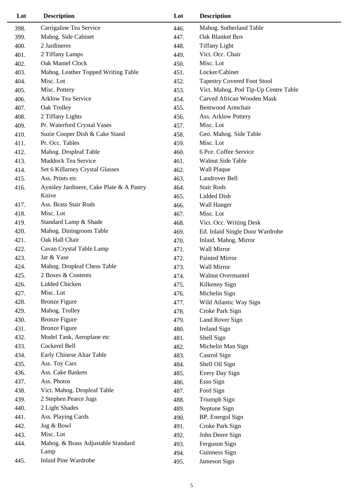| Lot  | <b>Description</b>                       | Lot  | <b>Description</b>                   |
|------|------------------------------------------|------|--------------------------------------|
| 398. | Carrigaline Tea Service                  | 446. | Mahog. Sutherland Table              |
| 399. | Mahog. Side Cabinet                      | 447. | Oak Blanket Box                      |
| 400. | 2 Jardineres                             | 448. | <b>Tiffany Light</b>                 |
| 401. | 2 Tiffany Lamps                          | 449. | Vict. Occ. Chair                     |
| 402. | Oak Mantel Clock                         | 450. | Misc. Lot                            |
| 403. | Mahog. Leather Topped Writing Table      | 451. | Locker/Cabinet                       |
| 404. | Misc. Lot                                | 452. | <b>Tapestry Covered Foot Stool</b>   |
| 405. | Misc. Pottery                            | 453. | Vict. Mahog. Pod Tip-Up Centre Table |
| 406. | <b>Arklow Tea Service</b>                | 454. | Carved African Wooden Mask           |
| 407. | Oak Trolley                              | 455. | Bentwood Armchair                    |
| 408. | 2 Tiffany Lights                         | 456. | Ass. Arklow Pottery                  |
| 409. | Pr. Waterford Crystal Vases              | 457. | Misc. Lot                            |
| 410. | Suzie Cooper Dish & Cake Stand           | 458. | Geo. Mahog. Side Table               |
| 411. | Pr. Occ. Tables                          | 459. | Misc. Lot                            |
| 412. | Mahog. Dropleaf Table                    | 460. | 6 Pce. Coffee Service                |
| 413. | Maddock Tea Service                      | 461. | Walnut Side Table                    |
| 414. | Set 6 Killarney Crystal Glasses          | 462. | Wall Plaque                          |
| 415. | Ass. Prints etc                          | 463. | Landrover Bell                       |
| 416. | Aynsley Jardinere, Cake Plate & A Pastry | 464. | <b>Stair Rods</b>                    |
|      | Knive                                    | 465. | Lidded Dish                          |
| 417. | Ass. Brass Stair Rods                    | 466. | Wall Hanger                          |
| 418. | Misc. Lot                                | 467. | Misc. Lot                            |
| 419. | Standard Lamp & Shade                    | 468. | Vict. Occ. Writing Desk              |
| 420. | Mahog. Diningroom Table                  | 469. | Ed. Inlaid Single Door Wardrobe      |
| 421. | Oak Hall Chair                           | 470. | Inlaid. Mahog. Mirror                |
| 422. | Cavan Crystal Table Lamp                 | 471. | <b>Wall Mirror</b>                   |
| 423. | Jar & Vase                               | 472. | <b>Painted Mirror</b>                |
| 424. | Mahog. Dropleaf Chess Table              | 473. | Wall Mirror                          |
| 425. | 2 Boxes & Contents                       | 474. | <b>Walnut Overmantel</b>             |
| 426. | Lidded Chicken                           | 475. | Kilkenny Sign                        |
| 427. | Misc. Lot                                | 476. | Michelin Sign                        |
| 428. | <b>Bronze Figure</b>                     | 477. | Wild Atlantic Way Sign               |
| 429. | Mahog. Trolley                           | 478. | Croke Park Sign                      |
| 430. | <b>Bronze Figure</b>                     | 479. | Land Rover Sign                      |
| 431. | <b>Bronze Figure</b>                     | 480. | <b>Ireland Sign</b>                  |
| 432. | Model Tank, Aeroplane etc                | 481. | Shell Sign                           |
| 433. | Cockerel Bell                            | 482. | Michelin Man Sign                    |
| 434. | Early Chinese Altar Table                | 483. | Castrol Sign                         |
| 435. | Ass. Toy Cars                            | 484. | Shell Oil Sign                       |
| 436. | Ass. Cake Baskets                        | 485. | Every Day Sign                       |
| 437. | Ass. Photos                              | 486. | Esso Sign                            |
| 438. | Vict. Mahog. Dropleaf Table              | 487. | Ford Sign                            |
| 439. | 2 Stephen Pearce Jugs                    | 488. | Triumph Sign                         |
| 440. | 2 Light Shades                           | 489. | Neptune Sign                         |
| 441. | Ass. Playing Cards                       | 490. | BP. Energol Sign                     |
| 442. | Jug & Bowl                               | 491. | Croke Park Sign                      |
| 443. | Misc. Lot                                | 492. | John Deere Sign                      |
| 444. | Mahog. & Brass Adjustable Standard       | 493. | Ferguson Sign                        |
|      | Lamp<br><b>Inlaid Pine Wardrobe</b>      | 494. | Guinness Sign                        |
| 445. |                                          | 495. | Jameson Sign                         |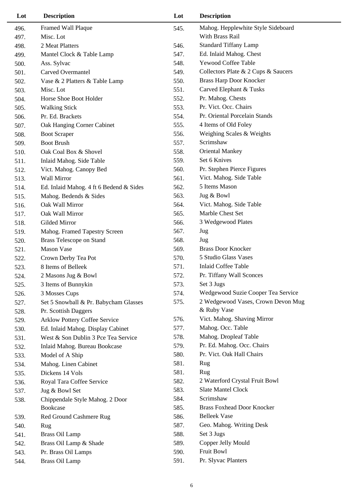| Lot  | <b>Description</b>                      |      | <b>Description</b>                  |  |
|------|-----------------------------------------|------|-------------------------------------|--|
| 496. | Framed Wall Plaque                      | 545. | Mahog. Hepplewhite Style Sideboard  |  |
| 497. | Misc. Lot                               |      | With Brass Rail                     |  |
| 498. | 2 Meat Platters                         | 546. | <b>Standard Tiffany Lamp</b>        |  |
| 499. | Mantel Clock & Table Lamp               | 547. | Ed. Inlaid Mahog. Chest             |  |
| 500. | Ass. Sylvac                             | 548. | <b>Yewood Coffee Table</b>          |  |
| 501. | <b>Carved Overmantel</b>                | 549. | Collectors Plate & 2 Cups & Saucers |  |
| 502. | Vase & 2 Platters & Table Lamp          | 550. | <b>Brass Harp Door Knocker</b>      |  |
| 503. | Misc. Lot                               | 551. | Carved Elephant & Tusks             |  |
| 504. | Horse Shoe Boot Holder                  | 552. | Pr. Mahog. Chests                   |  |
| 505. | <b>Walking Stick</b>                    | 553. | Pr. Vict. Occ. Chairs               |  |
| 506. | Pr. Ed. Brackets                        | 554. | Pr. Oriental Porcelain Stands       |  |
| 507. | Oak Hanging Corner Cabinet              | 555. | 4 Items of Old Foley                |  |
| 508. | <b>Boot Scraper</b>                     | 556. | Weighing Scales & Weights           |  |
| 509. | <b>Boot Brush</b>                       | 557. | Scrimshaw                           |  |
| 510. | Oak Coal Box & Shovel                   | 558. | <b>Oriental Mankey</b>              |  |
| 511. | Inlaid Mahog. Side Table                | 559. | Set 6 Knives                        |  |
| 512. | Vict. Mahog. Canopy Bed                 | 560. | Pr. Stephen Pierce Figures          |  |
| 513. | <b>Wall Mirror</b>                      | 561. | Vict. Mahog. Side Table             |  |
| 514. | Ed. Inlaid Mahog. 4 ft 6 Bedend & Sides | 562. | 5 Items Mason                       |  |
| 515. | Mahog. Bedends & Sides                  | 563. | Jug & Bowl                          |  |
| 516. | Oak Wall Mirror                         | 564. | Vict. Mahog. Side Table             |  |
| 517. | Oak Wall Mirror                         | 565. | Marble Chest Set                    |  |
| 518. | Gilded Mirror                           | 566. | 3 Wedgewood Plates                  |  |
| 519. | Mahog. Framed Tapestry Screen           | 567. | Jug                                 |  |
| 520. | <b>Brass Telescope on Stand</b>         | 568. | Jug                                 |  |
| 521. | <b>Mason Vase</b>                       | 569. | <b>Brass Door Knocker</b>           |  |
| 522. | Crown Derby Tea Pot                     | 570. | 5 Studio Glass Vases                |  |
| 523. | 8 Items of Belleek                      | 571. | <b>Inlaid Coffee Table</b>          |  |
| 524. | 2 Masons Jug & Bowl                     | 572. | Pr. Tiffany Wall Sconces            |  |
| 525. | 3 Items of Bunnykin                     | 573. | Set 3 Jugs                          |  |
| 526. | 3 Mosses Cups                           | 574. | Wedgewood Suzie Cooper Tea Service  |  |
| 527. | Set 5 Snowball & Pr. Babycham Glasses   | 575. | 2 Wedgewood Vases, Crown Devon Mug  |  |
| 528. | Pr. Scottish Daggers                    |      | & Ruby Vase                         |  |
| 529. | Arklow Pottery Coffee Service           | 576. | Vict. Mahog. Shaving Mirror         |  |
| 530. | Ed. Inlaid Mahog. Display Cabinet       | 577. | Mahog. Occ. Table                   |  |
| 531. | West & Son Dublin 3 Pce Tea Service     | 578. | Mahog. Dropleaf Table               |  |
| 532. | Inlaid Mahog. Bureau Bookcase           | 579. | Pr. Ed. Mahog. Occ. Chairs          |  |
| 533. | Model of A Ship                         | 580. | Pr. Vict. Oak Hall Chairs           |  |
| 534. | Mahog. Linen Cabinet                    | 581. | Rug                                 |  |
| 535. | Dickens 14 Vols                         | 581. | Rug                                 |  |
| 536. | Royal Tara Coffee Service               | 582. | 2 Waterford Crystal Fruit Bowl      |  |
| 537. | Jug & Bowl Set                          | 583. | <b>Slate Mantel Clock</b>           |  |
| 538. | Chippendale Style Mahog. 2 Door         | 584. | Scrimshaw                           |  |
|      | Bookcase                                | 585. | <b>Brass Foxhead Door Knocker</b>   |  |
| 539. | Red Ground Cashmere Rug                 | 586. | <b>Belleek Vase</b>                 |  |
| 540. | Rug                                     | 587. | Geo. Mahog. Writing Desk            |  |
| 541. | <b>Brass Oil Lamp</b>                   | 588. | Set 3 Jugs                          |  |
| 542. | Brass Oil Lamp & Shade                  | 589. | Copper Jelly Mould                  |  |
| 543. | Pr. Brass Oil Lamps                     | 590. | Fruit Bowl                          |  |
| 544. | <b>Brass Oil Lamp</b>                   | 591. | Pr. Slyvac Planters                 |  |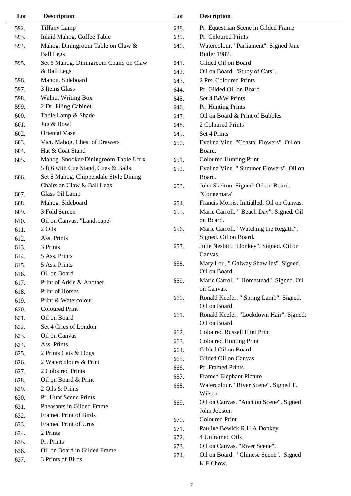| Lot  | <b>Description</b>                     | Lot  | <b>Description</b>                         |
|------|----------------------------------------|------|--------------------------------------------|
| 592. | <b>Tiffany Lamp</b>                    | 638. | Pr. Equestrian Scene in Gilded Frame       |
| 593. | Inlaid Mahog. Coffee Table             | 639. | Pr. Coloured Prints                        |
| 594. | Mahog. Diningroom Table on Claw &      | 640. | Watercolour. "Parliament". Signed Jane     |
|      | <b>Ball Legs</b>                       |      | Butler 1987.                               |
| 595. | Set 6 Mahog. Diningroom Chairs on Claw | 641. | Gilded Oil on Board                        |
|      | & Ball Legs                            | 642. | Oil on Board. "Study of Cats".             |
| 596. | Mahog. Sideboard                       | 643. | 2 Prs. Coloured Prints                     |
| 597. | 3 Items Glass                          | 644. | Pr. Gilded Oil on Board                    |
| 598. | <b>Walnut Writing Box</b>              | 645. | Set 4 B&W Prints                           |
| 599. | 2 Dr. Filing Cabinet                   | 646. | Pr. Hunting Prints                         |
| 600. | Table Lamp & Shade                     | 647. | Oil on Board & Print of Bubbles            |
| 601. | Jug & Bowl                             | 648. | 2 Coloured Prints                          |
| 602. | Oriental Vase                          | 649. | Set 4 Prints                               |
| 603. | Vict. Mahog. Chest of Drawers          | 650. | Evelina Vine. "Coastal Flowers". Oil on    |
| 604. | Hat & Coat Stand                       |      | Board.                                     |
| 605. | Mahog. Snooker/Diningroom Table 8 ft x | 651. | <b>Coloured Hunting Print</b>              |
|      | 5 ft 6 with Cue Stand, Cues & Balls    | 652. | Evelina Vine. " Summer Flowers". Oil on    |
| 606. | Set 8 Mahog. Chippendale Style Dining  |      | Board.                                     |
|      | Chairs on Claw & Ball Legs             | 653. | John Skelton. Signed. Oil on Board.        |
| 607. | Glass Oil Lamp                         |      | "Connemara"                                |
| 608. | Mahog. Sideboard                       | 654. | Francis Morris. Initialled. Oil on Canvas. |
| 609. | 3 Fold Screen                          | 655. | Marie Carroll. " Beach Day". Signed. Oil   |
| 610. | Oil on Canvas. "Landscape"             |      | on Board.                                  |
| 611. | 2 Oils                                 | 656. | Marie Carroll. "Watching the Regatta".     |
| 612. | Ass. Prints                            |      | Signed. Oil on Board.                      |
| 613. | 3 Prints                               | 657. | Julie Nesbitt. "Donkey". Signed. Oil on    |
| 614. | 5 Ass. Prints                          |      | Canvas.                                    |
| 615. | 5 Ass. Prints                          | 658. | Mary Lou. " Galway Shawlies". Signed.      |
| 616. | Oil on Board                           |      | Oil on Board.                              |
| 617. | Print of Arkle & Another               | 659. | Marie Carroll. " Homestead". Signed. Oil   |
| 618. | Print of Horses                        |      | on Canvas.                                 |
| 619. | Print & Watercolour                    | 660. | Ronald Keefer. " Spring Lamb". Signed.     |
| 620. | <b>Coloured Print</b>                  |      | Oil on Board.                              |
| 621. | Oil on Board                           | 661. | Ronald Keefer. "Lockdown Hair". Signed.    |
| 622. | Set 4 Cries of London                  |      | Oil on Board.                              |
| 623. | Oil on Canvas                          | 662. | <b>Coloured Russell Flint Print</b>        |
| 624. | Ass. Prints                            | 663. | <b>Coloured Hunting Print</b>              |
| 625. | 2 Prints Cats & Dogs                   | 664. | Gilded Oil on Board                        |
| 626. | 2 Watercolours & Print                 | 665. | Gilded Oil on Canvas                       |
| 627. | 2 Coloured Prints                      | 666. | Pr. Framed Prints                          |
| 628. | Oil on Board & Print                   | 667. | <b>Framed Elephant Picture</b>             |
| 629. | 2 Oils & Prints                        | 668. | Watercolour. "River Scene". Signed T.      |
| 630. | Pr. Hunt Scene Prints                  |      | Wilson                                     |
| 631. | Pheasants in Gilded Frame              | 669. | Oil on Canvas. "Auction Scene". Signed     |
| 632. | <b>Framed Print of Birds</b>           |      | John Jobson.                               |
| 633. | Framed Print of Urns                   | 670. | <b>Coloured Print</b>                      |
| 634. | 2 Prints                               | 671. | Pauline Bewick R.H.A Donkey                |
| 635. | Pr. Prints                             | 672. | 4 Unframed Oils                            |
| 636. | Oil on Board in Gilded Frame           | 673. | Oil on Canvas. "River Scene".              |
| 637. | 3 Prints of Birds                      | 674. | Oil on Board. "Chinese Scene". Signed      |
|      |                                        |      | K.F Chow.                                  |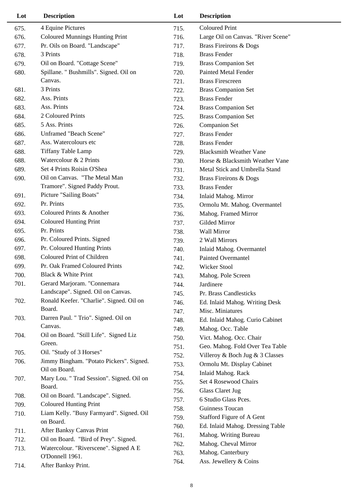| Lot  | <b>Description</b>                        | Lot  | <b>Description</b>                 |
|------|-------------------------------------------|------|------------------------------------|
| 675. | 4 Equine Pictures                         | 715. | <b>Coloured Print</b>              |
| 676. | <b>Coloured Munnings Hunting Print</b>    | 716. | Large Oil on Canvas. "River Scene" |
| 677. | Pr. Oils on Board. "Landscape"            | 717. | <b>Brass Fireirons &amp; Dogs</b>  |
| 678. | 3 Prints                                  | 718. | <b>Brass Fender</b>                |
| 679. | Oil on Board. "Cottage Scene"             | 719. | <b>Brass Companion Set</b>         |
| 680. | Spillane. " Bushmills". Signed. Oil on    | 720. | <b>Painted Metal Fender</b>        |
|      | Canvas.                                   | 721. | <b>Brass Firescreen</b>            |
| 681. | 3 Prints                                  | 722. | <b>Brass Companion Set</b>         |
| 682. | Ass. Prints                               | 723. | <b>Brass Fender</b>                |
| 683. | Ass. Prints                               | 724. | <b>Brass Companion Set</b>         |
| 684. | 2 Coloured Prints                         | 725. | <b>Brass Companion Set</b>         |
| 685. | 5 Ass. Prints                             | 726. | <b>Companion Set</b>               |
| 686. | <b>Unframed "Beach Scene"</b>             | 727. | <b>Brass Fender</b>                |
| 687. | Ass. Watercolours etc.                    | 728. | <b>Brass Fender</b>                |
| 688. | <b>Tiffany Table Lamp</b>                 | 729. | <b>Blacksmith Weather Vane</b>     |
| 688. | Watercolour & 2 Prints                    | 730. | Horse & Blacksmith Weather Vane    |
| 689. | Set 4 Prints Roisin O'Shea                | 731. | Metal Stick and Umbrella Stand     |
| 690. | Oil on Canvas. "The Metal Man             | 732. | <b>Brass Fireirons &amp; Dogs</b>  |
|      | Tramore". Signed Paddy Prout.             | 733. | <b>Brass Fender</b>                |
| 691. | Picture "Sailing Boats"                   | 734. | Inlaid Mahog. Mirror               |
| 692. | Pr. Prints                                | 735. | Ormolu Mt. Mahog. Overmantel       |
| 693. | Coloured Prints & Another                 | 736. | Mahog. Framed Mirror               |
| 694. | <b>Coloured Hunting Print</b>             | 737. | Gilded Mirror                      |
| 695. | Pr. Prints                                | 738. | Wall Mirror                        |
| 696. | Pr. Coloured Prints. Signed               | 739. | 2 Wall Mirrors                     |
| 697. | Pr. Coloured Hunting Prints               | 740. | Inlaid Mahog. Overmantel           |
| 698. | Coloured Print of Children                | 741. | <b>Painted Overmantel</b>          |
| 699. | Pr. Oak Framed Coloured Prints            | 742. | Wicker Stool                       |
| 700. | Black & White Print                       | 743. | Mahog. Pole Screen                 |
| 701. | Gerard Marjoram. "Connemara               | 744. | Jardinere                          |
|      | Landscape". Signed. Oil on Canvas.        | 745. | Pr. Brass Candlesticks             |
| 702. | Ronald Keefer. "Charlie". Signed. Oil on  | 746. | Ed. Inlaid Mahog. Writing Desk     |
|      | Board.                                    | 747. | Misc. Miniatures                   |
| 703. | Darren Paul. " Trio". Signed. Oil on      | 748. | Ed. Inlaid Mahog. Curio Cabinet    |
|      | Canvas.                                   | 749. | Mahog. Occ. Table                  |
| 704. | Oil on Board. "Still Life". Signed Liz    | 750. | Vict. Mahog. Occ. Chair            |
|      | Green.                                    | 751. | Geo. Mahog. Fold Over Tea Table    |
| 705. | Oil. "Study of 3 Horses"                  | 752. | Villeroy & Boch Jug & 3 Classes    |
| 706. | Jimmy Bingham. "Potato Pickers". Signed.  | 753. | Ormolu Mt. Display Cabinet         |
|      | Oil on Board.                             | 754. | <b>Inlaid Mahog. Rack</b>          |
| 707. | Mary Lou. " Trad Session". Signed. Oil on | 755. | Set 4 Rosewood Chairs              |
|      | Board.                                    | 756. | <b>Glass Claret Jug</b>            |
| 708. | Oil on Board. "Landscape". Signed.        | 757. | 6 Studio Glass Pces.               |
| 709. | <b>Coloured Hunting Print</b>             | 758. | Guinness Toucan                    |
| 710. | Liam Kelly. "Busy Farmyard". Signed. Oil  | 759. | Stafford Figure of A Gent          |
|      | on Board.<br>After Banksy Canvas Print    | 760. | Ed. Inlaid Mahog. Dressing Table   |
| 711. | Oil on Board. "Bird of Prey". Signed.     | 761. | Mahog. Writing Bureau              |
| 712. | Watercolour. "Riverscene". Signed A E     | 762. | Mahog. Cheval Mirror               |
| 713. | O'Donnell 1961.                           | 763. | Mahog. Canterbury                  |
| 714. | After Banksy Print.                       | 764. | Ass. Jewellery & Coins             |
|      |                                           |      |                                    |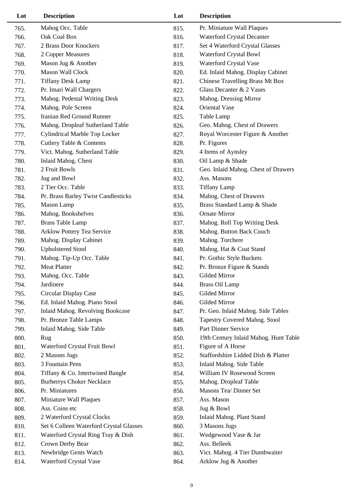| Lot  | <b>Description</b>                      | Lot  | <b>Description</b>                    |
|------|-----------------------------------------|------|---------------------------------------|
| 765. | Mahog Occ. Table                        | 815. | Pr. Miniature Wall Plaques            |
| 766. | Oak Coal Box                            | 816. | Waterford Crystal Decanter            |
| 767. | 2 Brass Door Knockers                   | 817. | Set 4 Waterford Crystal Glasses       |
| 768. | 2 Copper Measures                       | 818. | Waterford Crystal Bowl                |
| 769. | Mason Jug & Another                     | 819. | Waterford Crystal Vase                |
| 770. | Mason Wall Clock                        | 820. | Ed. Inlaid Mahog. Display Cabinet     |
| 771. | <b>Tiffany Desk Lamp</b>                | 821. | Chinese Travelling Brass Mt Box       |
| 772. | Pr. Imari Wall Chargers                 | 822. | Glass Decanter & 2 Vases              |
| 773. | Mahog. Pedestal Writing Desk            | 823. | Mahog. Dressing Mirror                |
| 774. | Mahog. Pole Screen                      | 824. | Oriental Vase                         |
| 775. | Iranian Red Ground Runner               | 825. | Table Lamp                            |
| 776. | Mahog. Dropleaf Sutherland Table        | 826. | Geo. Mahog. Chest of Drawers          |
| 777. | Cylindrical Marble Top Locker           | 827. | Royal Worcester Figure & Another      |
| 778. | <b>Cutlery Table &amp; Contents</b>     | 828. | Pr. Figures                           |
| 779. | Vict. Mahog. Sutherland Table           | 829. | 4 Items of Aynsley                    |
| 780. | Inlaid Mahog. Chest                     | 830. | Oil Lamp & Shade                      |
| 781. | 2 Fruit Bowls                           | 831. | Geo. Inlaid Mahog. Chest of Drawers   |
| 782. | Jug and Bowl                            | 832. | Ass. Masons                           |
| 783. | 2 Tier Occ. Table                       | 833. | <b>Tiffany Lamp</b>                   |
| 784. | Pr. Brass Barley Twist Candlesticks     | 834. | Mahog. Chest of Drawers               |
| 785. | Mason Lamp                              | 835. | Brass Standard Lamp & Shade           |
| 786. | Mahog. Bookshelves                      | 836. | <b>Ornate Mirror</b>                  |
| 787. | <b>Brass Table Lamp</b>                 | 837. | Mahog. Roll Top Writing Desk          |
| 788. | Arklow Pottery Tea Service              | 838. | Mahog. Button Back Couch              |
| 789. | Mahog. Display Cabinet                  | 839. | Mahog. Torchere                       |
| 790. | <b>Upholstered Stool</b>                | 840. | Mahog. Hat & Coat Stand               |
| 791. | Mahog. Tip-Up Occ. Table                | 841. | Pr. Gothic Style Buckets              |
| 792. | <b>Meat Platter</b>                     | 842. | Pr. Bronze Figure & Stands            |
| 793. | Mahog. Occ. Table                       | 843. | Gilded Mirror                         |
| 794. | Jardinere                               | 844. | <b>Brass Oil Lamp</b>                 |
| 795. | Circular Display Case                   | 845. | Gilded Mirror                         |
| 796. | Ed. Inlaid Mahog. Piano Stool           | 846. | Gilded Mirror                         |
| 797. | Inlaid Mahog. Revolving Bookcase        | 847. | Pr. Geo. Inlaid Mahog. Side Tables    |
| 798. | Pr. Bronze Table Lamps                  | 848. | Tapestry Covered Mahog. Stool         |
| 799. | Inlaid Mahog. Side Table                | 849. | Part Dinner Service                   |
| 800. | Rug                                     | 850. | 19th Century Inlaid Mahog. Hunt Table |
| 801. | Waterford Crystal Fruit Bowl            | 851. | Figure of A Horse                     |
| 802. | 2 Masons Jugs                           | 852. | Staffordshire Lidded Dish & Platter   |
| 803. | 3 Fountain Pens                         | 853. | Inlaid Mahog. Side Table              |
| 804. | Tiffany & Co. Intertwined Bangle        | 854. | William IV Rosewood Screen            |
| 805. | <b>Burberrys Choker Necklace</b>        | 855. | Mahog. Dropleaf Table                 |
| 806. | Pr. Miniatures                          | 856. | Masons Tea/ Dinner Set                |
| 807. | Miniature Wall Plaques                  | 857. | Ass. Mason                            |
| 808. | Ass. Coins etc                          | 858. | Jug & Bowl                            |
| 809. | 2 Waterford Crystal Clocks              | 859. | Inlaid Mahog. Plant Stand             |
| 810. | Set 6 Colleen Waterford Crystal Glasses | 860. | 3 Masons Jugs                         |
| 811. | Waterford Crystal Ring Tray & Dish      | 861. | Wedgewood Vase & Jar                  |
| 812. | Crown Derby Bear                        | 862. | Ass. Belleek                          |
| 813. | Newbridge Gents Watch                   | 863. | Vict. Mahog. 4 Tier Dumbwaiter        |
| 814. | Waterford Crystal Vase                  | 864. | Arklow Jug & Another                  |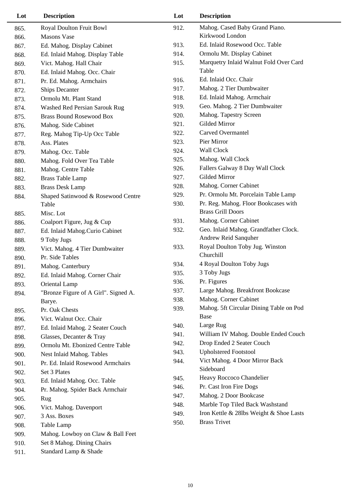| Lot  | <b>Description</b>                   | Lot  | <b>Description</b>                      |
|------|--------------------------------------|------|-----------------------------------------|
| 865. | Royal Doulton Fruit Bowl             | 912. | Mahog. Cased Baby Grand Piano.          |
| 866. | <b>Masons Vase</b>                   |      | Kirkwood London                         |
| 867. | Ed. Mahog. Display Cabinet           | 913. | Ed. Inlaid Rosewood Occ. Table          |
| 868. | Ed. Inlaid Mahog. Display Table      | 914. | Ormolu Mt. Display Cabinet              |
| 869. | Vict. Mahog. Hall Chair              | 915. | Marquetry Inlaid Walnut Fold Over Card  |
| 870. | Ed. Inlaid Mahog. Occ. Chair         |      | Table                                   |
| 871. | Pr. Ed. Mahog. Armchairs             | 916. | Ed. Inlaid Occ. Chair                   |
| 872. | <b>Ships Decanter</b>                | 917. | Mahog. 2 Tier Dumbwaiter                |
| 873. | Ormolu Mt. Plant Stand               | 918. | Ed. Inlaid Mahog. Armchair              |
| 874. | Washed Red Persian Sarouk Rug        | 919. | Geo. Mahog. 2 Tier Dumbwaiter           |
| 875. | <b>Brass Bound Rosewood Box</b>      | 920. | Mahog. Tapestry Screen                  |
| 876. | Mahog. Side Cabinet                  | 921. | Gilded Mirror                           |
| 877. | Reg. Mahog Tip-Up Occ Table          | 922. | <b>Carved Overmantel</b>                |
| 878. | Ass. Plates                          | 923. | Pier Mirror                             |
| 879. | Mahog. Occ. Table                    | 924. | <b>Wall Clock</b>                       |
| 880. | Mahog. Fold Over Tea Table           | 925. | Mahog. Wall Clock                       |
| 881. | Mahog. Centre Table                  | 926. | Fallers Galway 8 Day Wall Clock         |
| 882. | <b>Brass Table Lamp</b>              | 927. | Gilded Mirror                           |
| 883. | <b>Brass Desk Lamp</b>               | 928. | Mahog. Corner Cabinet                   |
| 884. | Shaped Satinwood & Rosewood Centre   | 929. | Pr. Ormolu Mt. Porcelain Table Lamp     |
|      | Table                                | 930. | Pr. Reg. Mahog. Floor Bookcases with    |
| 885. | Misc. Lot                            |      | <b>Brass Grill Doors</b>                |
| 886. | Coalport Figure, Jug & Cup           | 931. | Mahog. Corner Cabinet                   |
| 887. | Ed. Inlaid Mahog.Curio Cabinet       | 932. | Geo. Inlaid Mahog. Grandfather Clock.   |
| 888. | 9 Toby Jugs                          |      | Andrew Reid Sanquher                    |
| 889. | Vict. Mahog. 4 Tier Dumbwaiter       | 933. | Royal Doulton Toby Jug. Winston         |
| 890. | Pr. Side Tables                      |      | Churchill                               |
| 891. | Mahog. Canterbury                    | 934. | 4 Royal Doulton Toby Jugs               |
| 892. | Ed. Inlaid Mahog. Corner Chair       | 935. | 3 Toby Jugs                             |
| 893. | Oriental Lamp                        | 936. | Pr. Figures                             |
| 894. | "Bronze Figure of A Girl". Signed A. | 937. | Large Mahog. Breakfront Bookcase        |
|      | Barye.                               | 938. | Mahog. Corner Cabinet                   |
| 895. | Pr. Oak Chests                       | 939. | Mahog. 5ft Circular Dining Table on Pod |
| 896. | Vict. Walnut Occ. Chair              |      | Base                                    |
| 897. | Ed. Inlaid Mahog. 2 Seater Couch     | 940. | Large Rug                               |
| 898. | Glasses, Decanter & Tray             | 941. | William IV Mahog. Double Ended Couch    |
| 899. | Ormolu Mt. Ebonized Centre Table     | 942. | Drop Ended 2 Seater Couch               |
| 900. | Nest Inlaid Mahog. Tables            | 943. | <b>Upholstered Footstool</b>            |
| 901. | Pr. Ed. Inlaid Rosewood Armchairs    | 944. | Vict Mahog. 4 Door Mirror Back          |
| 902. | Set 3 Plates                         |      | Sideboard                               |
|      | Ed. Inlaid Mahog. Occ. Table         | 945. | Heavy Roccoco Chandelier                |
| 903. | Pr. Mahog. Spider Back Armchair      | 946. | Pr. Cast Iron Fire Dogs                 |
| 904. |                                      | 947. | Mahog. 2 Door Bookcase                  |
| 905. | Rug                                  | 948. | Marble Top Tiled Back Washstand         |
| 906. | Vict. Mahog. Davenport               | 949. | Iron Kettle & 28lbs Weight & Shoe Lasts |
| 907. | 3 Ass. Boxes                         | 950. | <b>Brass Trivet</b>                     |
| 908. | Table Lamp                           |      |                                         |
| 909. | Mahog. Lowboy on Claw & Ball Feet    |      |                                         |
| 910. | Set 8 Mahog. Dining Chairs           |      |                                         |
| 911. | Standard Lamp & Shade                |      |                                         |